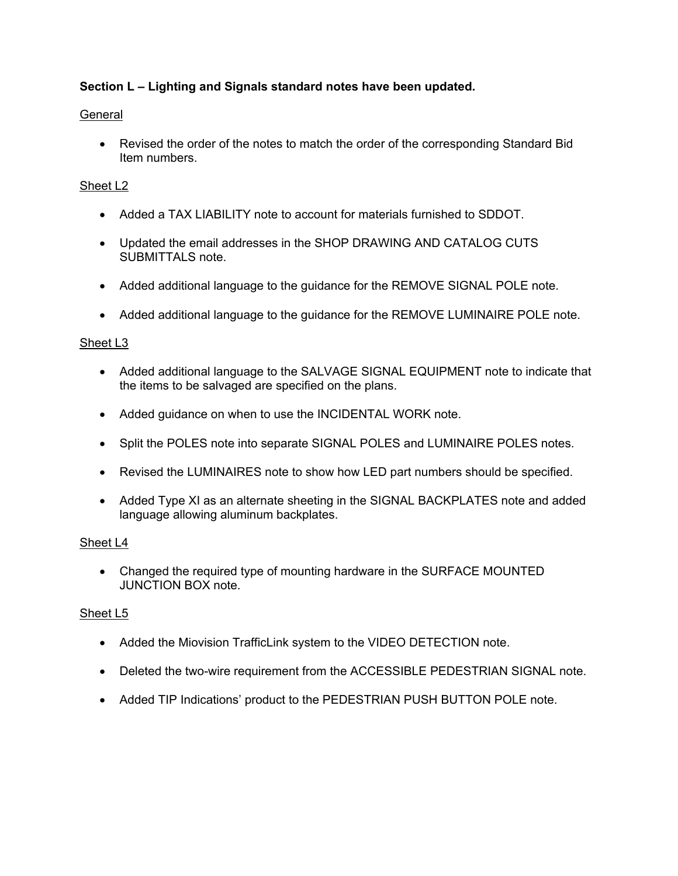# **Section L – Lighting and Signals standard notes have been updated.**

# **General**

 Revised the order of the notes to match the order of the corresponding Standard Bid Item numbers.

# Sheet L2

- Added a TAX LIABILITY note to account for materials furnished to SDDOT.
- Updated the email addresses in the SHOP DRAWING AND CATALOG CUTS SUBMITTALS note.
- Added additional language to the guidance for the REMOVE SIGNAL POLE note.
- Added additional language to the guidance for the REMOVE LUMINAIRE POLE note.

## Sheet L3

- Added additional language to the SALVAGE SIGNAL EQUIPMENT note to indicate that the items to be salvaged are specified on the plans.
- Added guidance on when to use the INCIDENTAL WORK note.
- Split the POLES note into separate SIGNAL POLES and LUMINAIRE POLES notes.
- Revised the LUMINAIRES note to show how LED part numbers should be specified.
- Added Type XI as an alternate sheeting in the SIGNAL BACKPLATES note and added language allowing aluminum backplates.

## Sheet L4

 Changed the required type of mounting hardware in the SURFACE MOUNTED JUNCTION BOX note.

## Sheet L5

- Added the Miovision TrafficLink system to the VIDEO DETECTION note.
- Deleted the two-wire requirement from the ACCESSIBLE PEDESTRIAN SIGNAL note.
- Added TIP Indications' product to the PEDESTRIAN PUSH BUTTON POLE note.